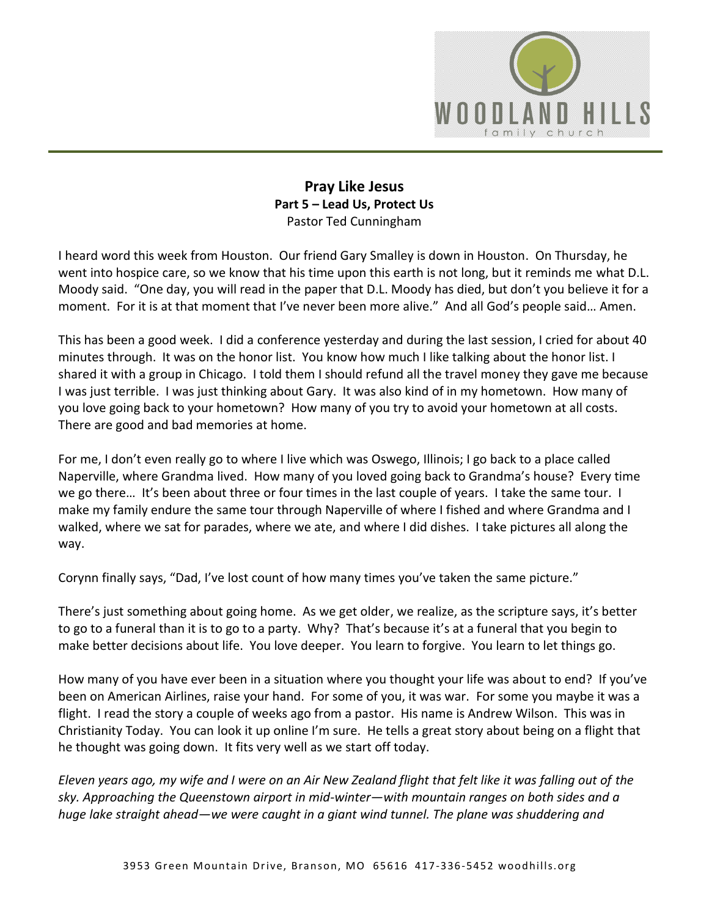

# **Pray Like Jesus Part 5 – Lead Us, Protect Us**  Pastor Ted Cunningham

I heard word this week from Houston. Our friend Gary Smalley is down in Houston. On Thursday, he went into hospice care, so we know that his time upon this earth is not long, but it reminds me what D.L. Moody said. "One day, you will read in the paper that D.L. Moody has died, but don't you believe it for a moment. For it is at that moment that I've never been more alive." And all God's people said… Amen.

This has been a good week. I did a conference yesterday and during the last session, I cried for about 40 minutes through. It was on the honor list. You know how much I like talking about the honor list. I shared it with a group in Chicago. I told them I should refund all the travel money they gave me because I was just terrible. I was just thinking about Gary. It was also kind of in my hometown. How many of you love going back to your hometown? How many of you try to avoid your hometown at all costs. There are good and bad memories at home.

For me, I don't even really go to where I live which was Oswego, Illinois; I go back to a place called Naperville, where Grandma lived. How many of you loved going back to Grandma's house? Every time we go there... It's been about three or four times in the last couple of years. I take the same tour. I make my family endure the same tour through Naperville of where I fished and where Grandma and I walked, where we sat for parades, where we ate, and where I did dishes. I take pictures all along the way.

Corynn finally says, "Dad, I've lost count of how many times you've taken the same picture."

There's just something about going home. As we get older, we realize, as the scripture says, it's better to go to a funeral than it is to go to a party. Why? That's because it's at a funeral that you begin to make better decisions about life. You love deeper. You learn to forgive. You learn to let things go.

How many of you have ever been in a situation where you thought your life was about to end? If you've been on American Airlines, raise your hand. For some of you, it was war. For some you maybe it was a flight. I read the story a couple of weeks ago from a pastor. His name is Andrew Wilson. This was in Christianity Today. You can look it up online I'm sure. He tells a great story about being on a flight that he thought was going down. It fits very well as we start off today.

*Eleven years ago, my wife and I were on an Air New Zealand flight that felt like it was falling out of the sky. Approaching the Queenstown airport in mid-winter—with mountain ranges on both sides and a huge lake straight ahead—we were caught in a giant wind tunnel. The plane was shuddering and*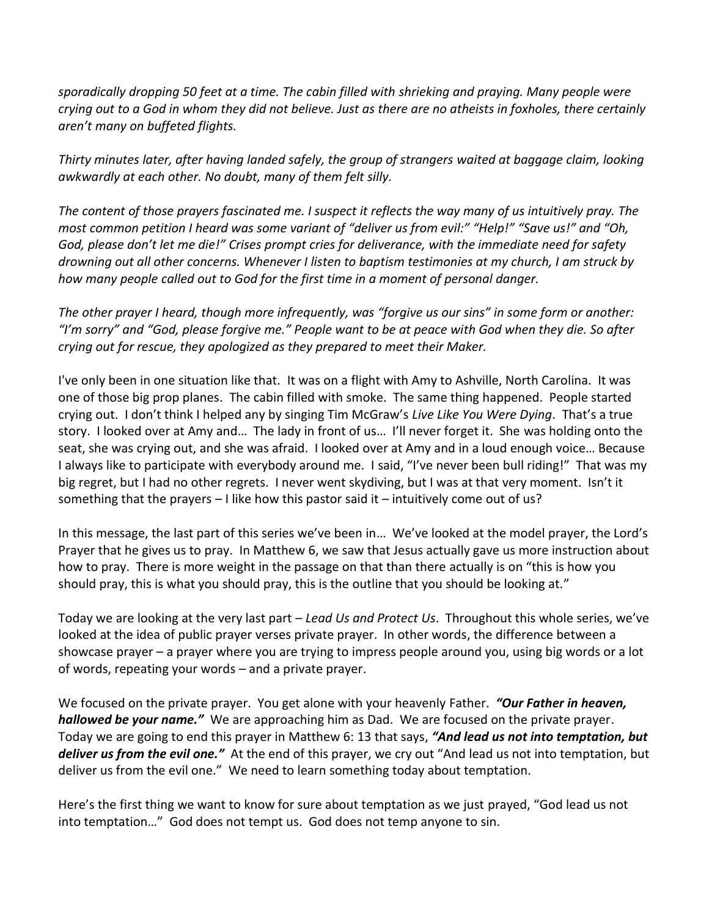*sporadically dropping 50 feet at a time. The cabin filled with shrieking and praying. Many people were crying out to a God in whom they did not believe. Just as there are no atheists in foxholes, there certainly aren't many on buffeted flights.*

*Thirty minutes later, after having landed safely, the group of strangers waited at baggage claim, looking awkwardly at each other. No doubt, many of them felt silly.* 

*The content of those prayers fascinated me. I suspect it reflects the way many of us intuitively pray. The most common petition I heard was some variant of "deliver us from evil:" "Help!" "Save us!" and "Oh, God, please don't let me die!" Crises prompt cries for deliverance, with the immediate need for safety drowning out all other concerns. Whenever I listen to baptism testimonies at my church, I am struck by how many people called out to God for the first time in a moment of personal danger.* 

*The other prayer I heard, though more infrequently, was "forgive us our sins" in some form or another: "I'm sorry" and "God, please forgive me." People want to be at peace with God when they die. So after crying out for rescue, they apologized as they prepared to meet their Maker.*

I've only been in one situation like that. It was on a flight with Amy to Ashville, North Carolina. It was one of those big prop planes. The cabin filled with smoke. The same thing happened. People started crying out. I don't think I helped any by singing Tim McGraw's *Live Like You Were Dying*. That's a true story. I looked over at Amy and… The lady in front of us… I'll never forget it. She was holding onto the seat, she was crying out, and she was afraid. I looked over at Amy and in a loud enough voice… Because I always like to participate with everybody around me. I said, "I've never been bull riding!" That was my big regret, but I had no other regrets. I never went skydiving, but I was at that very moment. Isn't it something that the prayers – I like how this pastor said it – intuitively come out of us?

In this message, the last part of this series we've been in… We've looked at the model prayer, the Lord's Prayer that he gives us to pray. In Matthew 6, we saw that Jesus actually gave us more instruction about how to pray. There is more weight in the passage on that than there actually is on "this is how you should pray, this is what you should pray, this is the outline that you should be looking at."

Today we are looking at the very last part – *Lead Us and Protect Us*. Throughout this whole series, we've looked at the idea of public prayer verses private prayer. In other words, the difference between a showcase prayer – a prayer where you are trying to impress people around you, using big words or a lot of words, repeating your words – and a private prayer.

We focused on the private prayer. You get alone with your heavenly Father. *"Our Father in heaven, hallowed be your name."* We are approaching him as Dad. We are focused on the private prayer. Today we are going to end this prayer in Matthew 6: 13 that says, *"And lead us not into temptation, but deliver us from the evil one."* At the end of this prayer, we cry out "And lead us not into temptation, but deliver us from the evil one." We need to learn something today about temptation.

Here's the first thing we want to know for sure about temptation as we just prayed, "God lead us not into temptation…" God does not tempt us. God does not temp anyone to sin.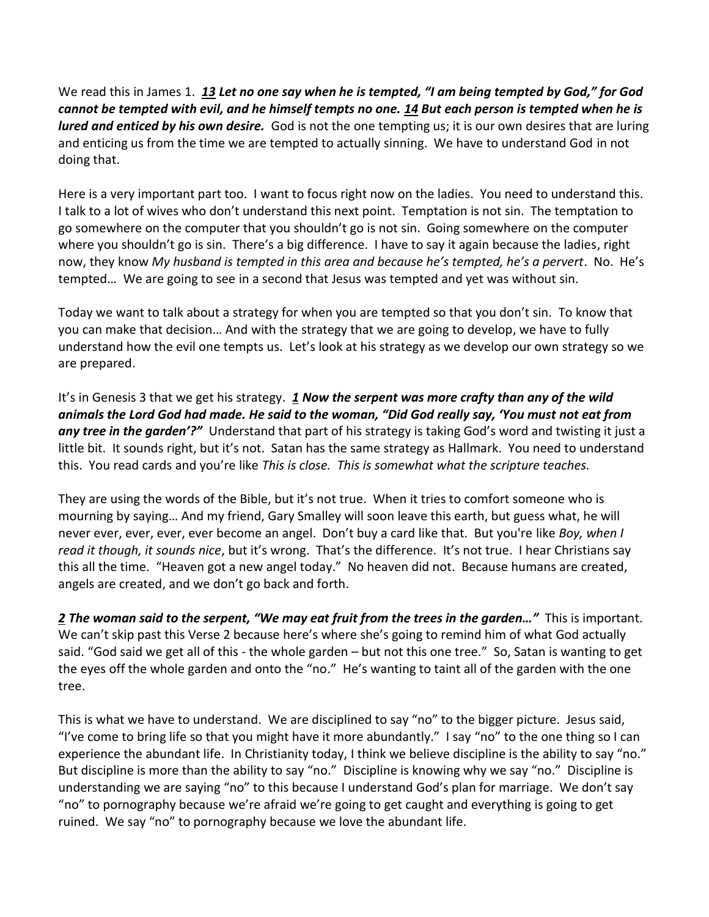We read this in James 1. *[13](http://www.studylight.org/desk/?q=jas%201:13&t1=en_esv&sr=1) Let no one say when he is tempted, "I am being tempted by God," for God cannot be tempted with evil, and he himself tempts no one. [14](http://www.studylight.org/desk/?q=jas%201:14&t1=en_esv&sr=1) But each person is tempted when he is lured and enticed by his own desire.* God is not the one tempting us; it is our own desires that are luring and enticing us from the time we are tempted to actually sinning. We have to understand God in not doing that.

Here is a very important part too. I want to focus right now on the ladies. You need to understand this. I talk to a lot of wives who don't understand this next point. Temptation is not sin. The temptation to go somewhere on the computer that you shouldn't go is not sin. Going somewhere on the computer where you shouldn't go is sin. There's a big difference. I have to say it again because the ladies, right now, they know *My husband is tempted in this area and because he's tempted, he's a pervert*. No. He's tempted… We are going to see in a second that Jesus was tempted and yet was without sin.

Today we want to talk about a strategy for when you are tempted so that you don't sin. To know that you can make that decision… And with the strategy that we are going to develop, we have to fully understand how the evil one tempts us. Let's look at his strategy as we develop our own strategy so we are prepared.

It's in Genesis 3 that we get his strategy. *[1](http://www.studylight.org/desk/?q=ge%203:1&t1=en_niv&sr=1) Now the serpent was more crafty than any of the wild animals the Lord God had made. He said to the woman, "Did God really say, 'You must not eat from any tree in the garden'?"* Understand that part of his strategy is taking God's word and twisting it just a little bit. It sounds right, but it's not. Satan has the same strategy as Hallmark. You need to understand this. You read cards and you're like *This is close. This is somewhat what the scripture teaches.*

They are using the words of the Bible, but it's not true. When it tries to comfort someone who is mourning by saying… And my friend, Gary Smalley will soon leave this earth, but guess what, he will never ever, ever, ever, ever become an angel. Don't buy a card like that. But you're like *Boy, when I read it though, it sounds nice*, but it's wrong. That's the difference. It's not true. I hear Christians say this all the time. "Heaven got a new angel today." No heaven did not. Because humans are created, angels are created, and we don't go back and forth.

*[2](http://www.studylight.org/desk/?q=ge%203:2&t1=en_niv&sr=1) The woman said to the serpent, "We may eat fruit from the trees in the garden…"* This is important. We can't skip past this Verse 2 because here's where she's going to remind him of what God actually said. "God said we get all of this - the whole garden – but not this one tree." So, Satan is wanting to get the eyes off the whole garden and onto the "no." He's wanting to taint all of the garden with the one tree.

This is what we have to understand. We are disciplined to say "no" to the bigger picture. Jesus said, "I've come to bring life so that you might have it more abundantly." I say "no" to the one thing so I can experience the abundant life. In Christianity today, I think we believe discipline is the ability to say "no." But discipline is more than the ability to say "no." Discipline is knowing why we say "no." Discipline is understanding we are saying "no" to this because I understand God's plan for marriage. We don't say "no" to pornography because we're afraid we're going to get caught and everything is going to get ruined. We say "no" to pornography because we love the abundant life.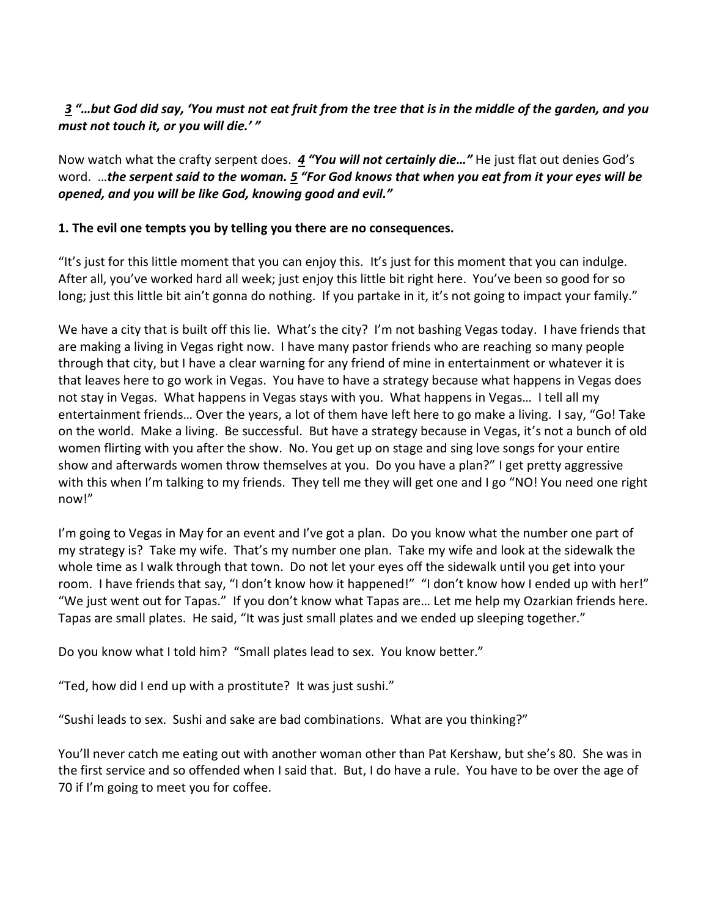### *[3](http://www.studylight.org/desk/?q=ge%203:3&t1=en_niv&sr=1) "…but God did say, 'You must not eat fruit from the tree that is in the middle of the garden, and you must not touch it, or you will die.' "*

Now watch what the crafty serpent does. *[4](http://www.studylight.org/desk/?q=ge%203:4&t1=en_niv&sr=1) "You will not certainly die…"* He just flat out denies God's word. …*the serpent said to the woman. [5](http://www.studylight.org/desk/?q=ge%203:5&t1=en_niv&sr=1) "For God knows that when you eat from it your eyes will be opened, and you will be like God, knowing good and evil."*

#### **1. The evil one tempts you by telling you there are no consequences.**

"It's just for this little moment that you can enjoy this. It's just for this moment that you can indulge. After all, you've worked hard all week; just enjoy this little bit right here. You've been so good for so long; just this little bit ain't gonna do nothing. If you partake in it, it's not going to impact your family."

We have a city that is built off this lie. What's the city? I'm not bashing Vegas today. I have friends that are making a living in Vegas right now. I have many pastor friends who are reaching so many people through that city, but I have a clear warning for any friend of mine in entertainment or whatever it is that leaves here to go work in Vegas. You have to have a strategy because what happens in Vegas does not stay in Vegas. What happens in Vegas stays with you. What happens in Vegas… I tell all my entertainment friends… Over the years, a lot of them have left here to go make a living. I say, "Go! Take on the world. Make a living. Be successful. But have a strategy because in Vegas, it's not a bunch of old women flirting with you after the show. No. You get up on stage and sing love songs for your entire show and afterwards women throw themselves at you. Do you have a plan?" I get pretty aggressive with this when I'm talking to my friends. They tell me they will get one and I go "NO! You need one right now!"

I'm going to Vegas in May for an event and I've got a plan. Do you know what the number one part of my strategy is? Take my wife. That's my number one plan. Take my wife and look at the sidewalk the whole time as I walk through that town. Do not let your eyes off the sidewalk until you get into your room. I have friends that say, "I don't know how it happened!" "I don't know how I ended up with her!" "We just went out for Tapas." If you don't know what Tapas are… Let me help my Ozarkian friends here. Tapas are small plates. He said, "It was just small plates and we ended up sleeping together."

Do you know what I told him? "Small plates lead to sex. You know better."

"Ted, how did I end up with a prostitute? It was just sushi."

"Sushi leads to sex. Sushi and sake are bad combinations. What are you thinking?"

You'll never catch me eating out with another woman other than Pat Kershaw, but she's 80. She was in the first service and so offended when I said that. But, I do have a rule. You have to be over the age of 70 if I'm going to meet you for coffee.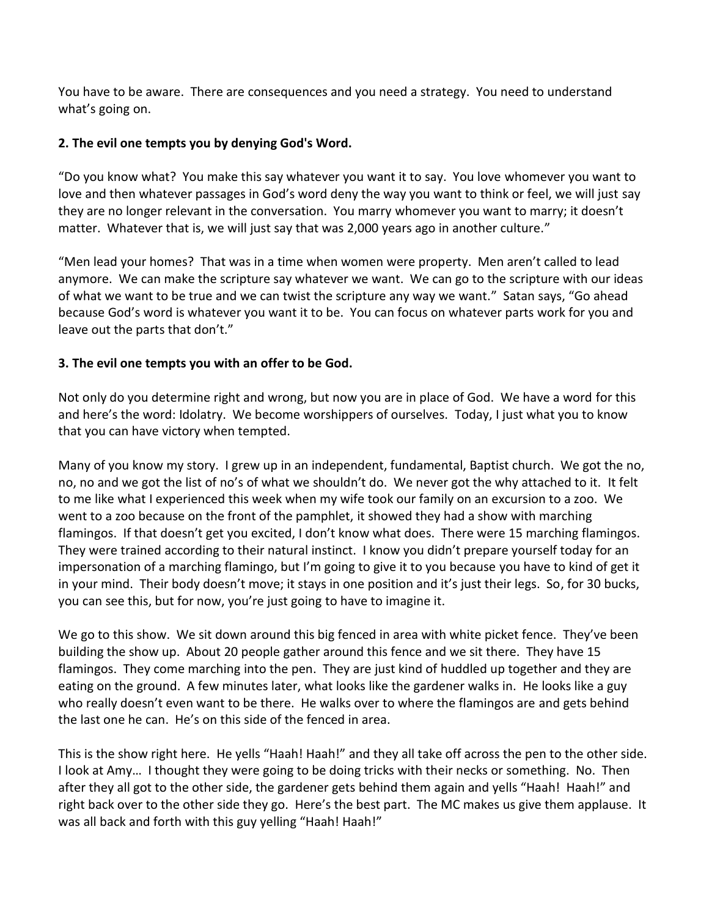You have to be aware. There are consequences and you need a strategy. You need to understand what's going on.

### **2. The evil one tempts you by denying God's Word.**

"Do you know what? You make this say whatever you want it to say. You love whomever you want to love and then whatever passages in God's word deny the way you want to think or feel, we will just say they are no longer relevant in the conversation. You marry whomever you want to marry; it doesn't matter. Whatever that is, we will just say that was 2,000 years ago in another culture."

"Men lead your homes? That was in a time when women were property. Men aren't called to lead anymore. We can make the scripture say whatever we want. We can go to the scripture with our ideas of what we want to be true and we can twist the scripture any way we want." Satan says, "Go ahead because God's word is whatever you want it to be. You can focus on whatever parts work for you and leave out the parts that don't."

# **3. The evil one tempts you with an offer to be God.**

Not only do you determine right and wrong, but now you are in place of God. We have a word for this and here's the word: Idolatry. We become worshippers of ourselves. Today, I just what you to know that you can have victory when tempted.

Many of you know my story. I grew up in an independent, fundamental, Baptist church. We got the no, no, no and we got the list of no's of what we shouldn't do. We never got the why attached to it. It felt to me like what I experienced this week when my wife took our family on an excursion to a zoo. We went to a zoo because on the front of the pamphlet, it showed they had a show with marching flamingos. If that doesn't get you excited, I don't know what does. There were 15 marching flamingos. They were trained according to their natural instinct. I know you didn't prepare yourself today for an impersonation of a marching flamingo, but I'm going to give it to you because you have to kind of get it in your mind. Their body doesn't move; it stays in one position and it's just their legs. So, for 30 bucks, you can see this, but for now, you're just going to have to imagine it.

We go to this show. We sit down around this big fenced in area with white picket fence. They've been building the show up. About 20 people gather around this fence and we sit there. They have 15 flamingos. They come marching into the pen. They are just kind of huddled up together and they are eating on the ground. A few minutes later, what looks like the gardener walks in. He looks like a guy who really doesn't even want to be there. He walks over to where the flamingos are and gets behind the last one he can. He's on this side of the fenced in area.

This is the show right here. He yells "Haah! Haah!" and they all take off across the pen to the other side. I look at Amy… I thought they were going to be doing tricks with their necks or something. No. Then after they all got to the other side, the gardener gets behind them again and yells "Haah! Haah!" and right back over to the other side they go. Here's the best part. The MC makes us give them applause. It was all back and forth with this guy yelling "Haah! Haah!"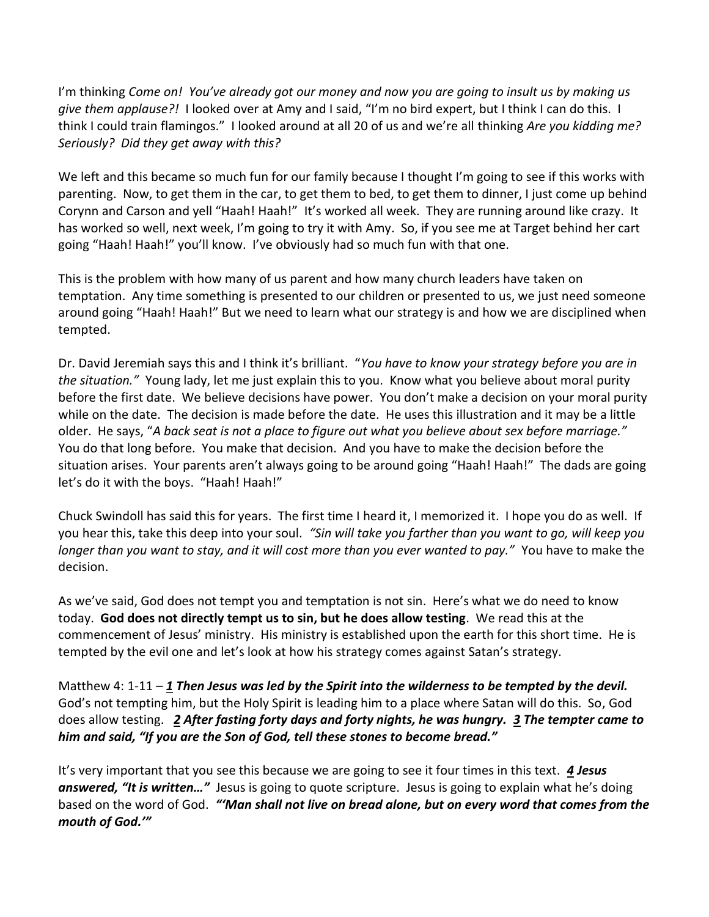I'm thinking *Come on! You've already got our money and now you are going to insult us by making us give them applause?!* I looked over at Amy and I said, "I'm no bird expert, but I think I can do this. I think I could train flamingos." I looked around at all 20 of us and we're all thinking *Are you kidding me? Seriously? Did they get away with this?* 

We left and this became so much fun for our family because I thought I'm going to see if this works with parenting. Now, to get them in the car, to get them to bed, to get them to dinner, I just come up behind Corynn and Carson and yell "Haah! Haah!" It's worked all week. They are running around like crazy. It has worked so well, next week, I'm going to try it with Amy. So, if you see me at Target behind her cart going "Haah! Haah!" you'll know. I've obviously had so much fun with that one.

This is the problem with how many of us parent and how many church leaders have taken on temptation. Any time something is presented to our children or presented to us, we just need someone around going "Haah! Haah!" But we need to learn what our strategy is and how we are disciplined when tempted.

Dr. David Jeremiah says this and I think it's brilliant. "*You have to know your strategy before you are in the situation."* Young lady, let me just explain this to you. Know what you believe about moral purity before the first date. We believe decisions have power. You don't make a decision on your moral purity while on the date. The decision is made before the date. He uses this illustration and it may be a little older. He says, "*A back seat is not a place to figure out what you believe about sex before marriage."* You do that long before. You make that decision. And you have to make the decision before the situation arises. Your parents aren't always going to be around going "Haah! Haah!" The dads are going let's do it with the boys. "Haah! Haah!"

Chuck Swindoll has said this for years. The first time I heard it, I memorized it. I hope you do as well. If you hear this, take this deep into your soul. *"Sin will take you farther than you want to go, will keep you longer than you want to stay, and it will cost more than you ever wanted to pay."* You have to make the decision.

As we've said, God does not tempt you and temptation is not sin. Here's what we do need to know today. **God does not directly tempt us to sin, but he does allow testing**. We read this at the commencement of Jesus' ministry. His ministry is established upon the earth for this short time. He is tempted by the evil one and let's look at how his strategy comes against Satan's strategy.

Matthew 4: 1-11 – *[1](http://www.studylight.org/desk/?q=mt%204:1&t1=en_niv&sr=1) Then Jesus was led by the Spirit into the wilderness to be tempted by the devil.* God's not tempting him, but the Holy Spirit is leading him to a place where Satan will do this. So, God does allow testing. *[2](http://www.studylight.org/desk/?q=mt%204:2&t1=en_niv&sr=1) After fasting forty days and forty nights, he was hungry. [3](http://www.studylight.org/desk/?q=mt%204:3&t1=en_niv&sr=1) The tempter came to him and said, "If you are the Son of God, tell these stones to become bread."*

It's very important that you see this because we are going to see it four times in this text. *[4](http://www.studylight.org/desk/?q=mt%204:4&t1=en_niv&sr=1) Jesus answered, "It is written…"* Jesus is going to quote scripture. Jesus is going to explain what he's doing based on the word of God. *"'Man shall not live on bread alone, but on every word that comes from the mouth of God.'"*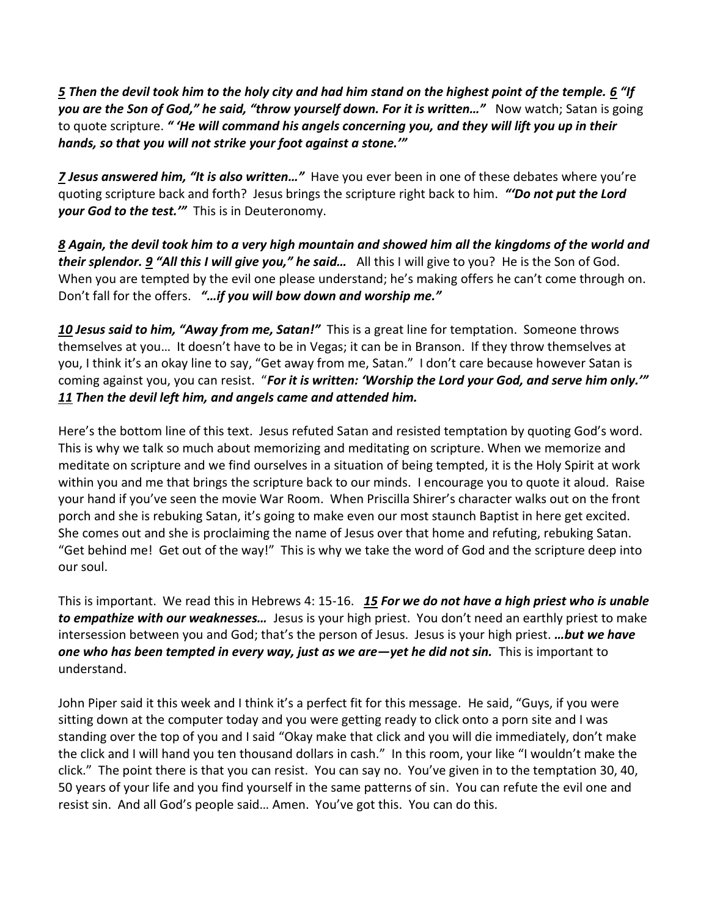*[5](http://www.studylight.org/desk/?q=mt%204:5&t1=en_niv&sr=1) Then the devil took him to the holy city and had him stand on the highest point of the temple. [6](http://www.studylight.org/desk/?q=mt%204:6&t1=en_niv&sr=1) "If*  you are the Son of God," he said, "throw yourself down. For it is written..." Now watch; Satan is going to quote scripture. *" 'He will command his angels concerning you, and they will lift you up in their hands, so that you will not strike your foot against a stone.'"*

*[7](http://www.studylight.org/desk/?q=mt%204:7&t1=en_niv&sr=1) Jesus answered him, "It is also written…"* Have you ever been in one of these debates where you're quoting scripture back and forth? Jesus brings the scripture right back to him. *"'Do not put the Lord your God to the test.'"* This is in Deuteronomy.

*[8](http://www.studylight.org/desk/?q=mt%204:8&t1=en_niv&sr=1) Again, the devil took him to a very high mountain and showed him all the kingdoms of the world and their splendor[. 9](http://www.studylight.org/desk/?q=mt%204:9&t1=en_niv&sr=1) "All this I will give you," he said…* All this I will give to you? He is the Son of God. When you are tempted by the evil one please understand; he's making offers he can't come through on. Don't fall for the offers. *"…if you will bow down and worship me."*

*[10](http://www.studylight.org/desk/?q=mt%204:10&t1=en_niv&sr=1) Jesus said to him, "Away from me, Satan!"* This is a great line for temptation. Someone throws themselves at you… It doesn't have to be in Vegas; it can be in Branson. If they throw themselves at you, I think it's an okay line to say, "Get away from me, Satan." I don't care because however Satan is coming against you, you can resist. "*For it is written: 'Worship the Lord your God, and serve him only.'" [11](http://www.studylight.org/desk/?q=mt%204:11&t1=en_niv&sr=1) Then the devil left him, and angels came and attended him.* 

Here's the bottom line of this text. Jesus refuted Satan and resisted temptation by quoting God's word. This is why we talk so much about memorizing and meditating on scripture. When we memorize and meditate on scripture and we find ourselves in a situation of being tempted, it is the Holy Spirit at work within you and me that brings the scripture back to our minds. I encourage you to quote it aloud. Raise your hand if you've seen the movie War Room. When Priscilla Shirer's character walks out on the front porch and she is rebuking Satan, it's going to make even our most staunch Baptist in here get excited. She comes out and she is proclaiming the name of Jesus over that home and refuting, rebuking Satan. "Get behind me! Get out of the way!" This is why we take the word of God and the scripture deep into our soul.

This is important. We read this in Hebrews 4: 15-16. *[15](http://www.studylight.org/desk/?q=heb%204:15&t1=en_niv&sr=1) For we do not have a high priest who is unable to empathize with our weaknesses…* Jesus is your high priest. You don't need an earthly priest to make intersession between you and God; that's the person of Jesus. Jesus is your high priest. *…but we have one who has been tempted in every way, just as we are—yet he did not sin.* This is important to understand.

John Piper said it this week and I think it's a perfect fit for this message. He said, "Guys, if you were sitting down at the computer today and you were getting ready to click onto a porn site and I was standing over the top of you and I said "Okay make that click and you will die immediately, don't make the click and I will hand you ten thousand dollars in cash." In this room, your like "I wouldn't make the click." The point there is that you can resist. You can say no. You've given in to the temptation 30, 40, 50 years of your life and you find yourself in the same patterns of sin. You can refute the evil one and resist sin. And all God's people said… Amen. You've got this. You can do this.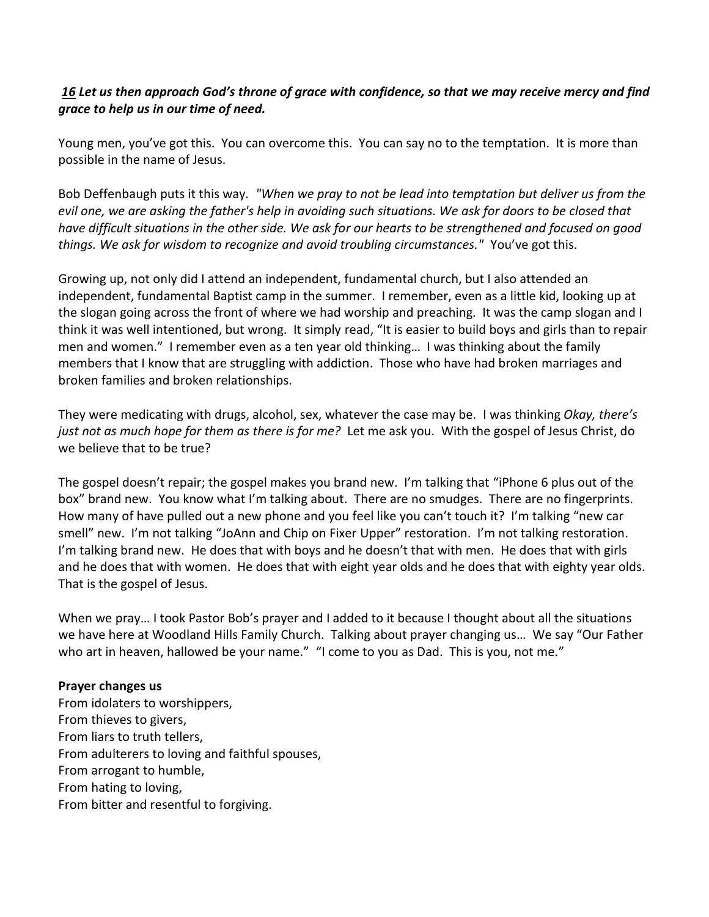# *[16](http://www.studylight.org/desk/?q=heb%204:16&t1=en_niv&sr=1) Let us then approach God's throne of grace with confidence, so that we may receive mercy and find grace to help us in our time of need.*

Young men, you've got this. You can overcome this. You can say no to the temptation. It is more than possible in the name of Jesus.

Bob Deffenbaugh puts it this way*. "When we pray to not be lead into temptation but deliver us from the evil one, we are asking the father's help in avoiding such situations. We ask for doors to be closed that have difficult situations in the other side. We ask for our hearts to be strengthened and focused on good things. We ask for wisdom to recognize and avoid troubling circumstances."* You've got this.

Growing up, not only did I attend an independent, fundamental church, but I also attended an independent, fundamental Baptist camp in the summer. I remember, even as a little kid, looking up at the slogan going across the front of where we had worship and preaching. It was the camp slogan and I think it was well intentioned, but wrong. It simply read, "It is easier to build boys and girls than to repair men and women." I remember even as a ten year old thinking… I was thinking about the family members that I know that are struggling with addiction. Those who have had broken marriages and broken families and broken relationships.

They were medicating with drugs, alcohol, sex, whatever the case may be. I was thinking *Okay, there's just not as much hope for them as there is for me?* Let me ask you. With the gospel of Jesus Christ, do we believe that to be true?

The gospel doesn't repair; the gospel makes you brand new. I'm talking that "iPhone 6 plus out of the box" brand new. You know what I'm talking about. There are no smudges. There are no fingerprints. How many of have pulled out a new phone and you feel like you can't touch it? I'm talking "new car smell" new. I'm not talking "JoAnn and Chip on Fixer Upper" restoration. I'm not talking restoration. I'm talking brand new. He does that with boys and he doesn't that with men. He does that with girls and he does that with women. He does that with eight year olds and he does that with eighty year olds. That is the gospel of Jesus.

When we pray… I took Pastor Bob's prayer and I added to it because I thought about all the situations we have here at Woodland Hills Family Church. Talking about prayer changing us… We say "Our Father who art in heaven, hallowed be your name." "I come to you as Dad. This is you, not me."

### **Prayer changes us**

From idolaters to worshippers, From thieves to givers, From liars to truth tellers, From adulterers to loving and faithful spouses, From arrogant to humble, From hating to loving, From bitter and resentful to forgiving.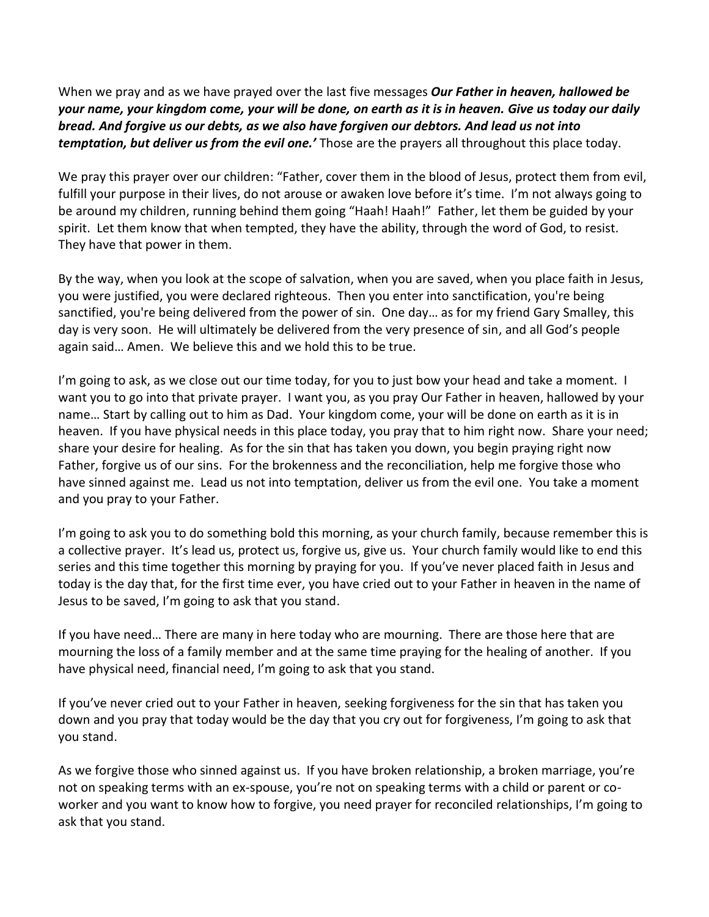When we pray and as we have prayed over the last five messages *Our Father in heaven, hallowed be your name, your kingdom come, your will be done, on earth as it is in heaven. Give us today our daily bread. And forgive us our debts, as we also have forgiven our debtors. And lead us not into temptation, but deliver us from the evil one.'* Those are the prayers all throughout this place today.

We pray this prayer over our children: "Father, cover them in the blood of Jesus, protect them from evil, fulfill your purpose in their lives, do not arouse or awaken love before it's time. I'm not always going to be around my children, running behind them going "Haah! Haah!" Father, let them be guided by your spirit. Let them know that when tempted, they have the ability, through the word of God, to resist. They have that power in them.

By the way, when you look at the scope of salvation, when you are saved, when you place faith in Jesus, you were justified, you were declared righteous. Then you enter into sanctification, you're being sanctified, you're being delivered from the power of sin. One day… as for my friend Gary Smalley, this day is very soon. He will ultimately be delivered from the very presence of sin, and all God's people again said… Amen. We believe this and we hold this to be true.

I'm going to ask, as we close out our time today, for you to just bow your head and take a moment. I want you to go into that private prayer. I want you, as you pray Our Father in heaven, hallowed by your name… Start by calling out to him as Dad. Your kingdom come, your will be done on earth as it is in heaven. If you have physical needs in this place today, you pray that to him right now. Share your need; share your desire for healing. As for the sin that has taken you down, you begin praying right now Father, forgive us of our sins. For the brokenness and the reconciliation, help me forgive those who have sinned against me. Lead us not into temptation, deliver us from the evil one. You take a moment and you pray to your Father.

I'm going to ask you to do something bold this morning, as your church family, because remember this is a collective prayer. It's lead us, protect us, forgive us, give us. Your church family would like to end this series and this time together this morning by praying for you. If you've never placed faith in Jesus and today is the day that, for the first time ever, you have cried out to your Father in heaven in the name of Jesus to be saved, I'm going to ask that you stand.

If you have need… There are many in here today who are mourning. There are those here that are mourning the loss of a family member and at the same time praying for the healing of another. If you have physical need, financial need, I'm going to ask that you stand.

If you've never cried out to your Father in heaven, seeking forgiveness for the sin that has taken you down and you pray that today would be the day that you cry out for forgiveness, I'm going to ask that you stand.

As we forgive those who sinned against us. If you have broken relationship, a broken marriage, you're not on speaking terms with an ex-spouse, you're not on speaking terms with a child or parent or coworker and you want to know how to forgive, you need prayer for reconciled relationships, I'm going to ask that you stand.